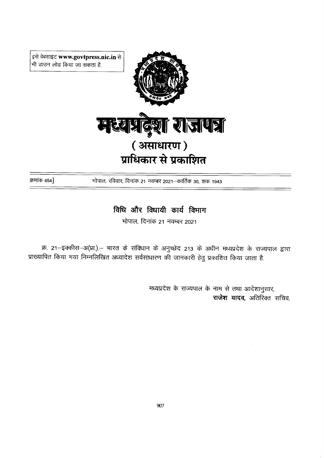इसे वेबसाइट www.govtpress.nic.in से भी डाउन लोड किया जा सकता है.



क्रमांक 454}

भोपाल, रविवार, दिनांक 21 नवम्बर 2021-कार्तिक 30, शक 1943

## विधि और विधायी कार्य विभाग

भोपाल, दिनांक 21 नवम्बर 2021

क्र. 21–इक्कीस–अ(प्रा.).– भारत के संविधान के अनुच्छेद 213 के अधीन मध्यप्रदेश के राज्यपाल द्वारा प्राख्यापित किया गया निम्नलिखित अध्यादेश सर्वसाधारण की जानकारी हेतु प्रकाशित किया जाता है.

> मध्यप्रदेश के राज्यपाल के नाम से तथा आदेशानुसार, राजेश यादव, अतिरिक्त सचिव.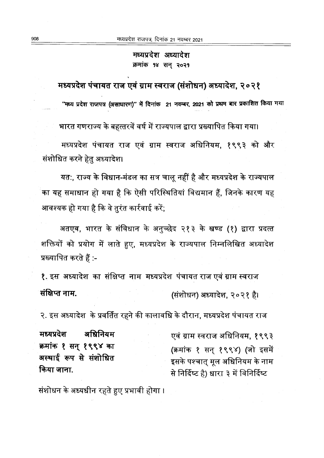मध्यप्रदेश अध्यादेश क्रमांक १४ सन् २०२१

मध्यप्रदेश पंचायत राज एवं ग्राम स्वराज (संशोधन) अध्यादेश, २०२१

"मध्य प्रदेश राजपत्र (असाधारण)" में दिनांक 21 नवम्बर, 2021 को प्रथम बार प्रकाशित किया गया

भारत गणराज्य के बहत्तरवें वर्ष में राज्यपाल द्वारा प्रख्यापित किया गया।

मध्यप्रदेश पंचायत राज एवं ग्राम स्वराज अधिनियम, १९९३ को और संशोधित करने हेतु अध्यादेश।

यत:, राज्य के विधान-मंडल का सत्र चालू नहीं है और मध्यप्रदेश के राज्यपाल का यह समाधान हो गया है कि ऐसी परिस्थितियां विद्यमान हैं, जिनके कारण यह आवश्यक हो गया है कि वे तुरंत कार्रवाई करें;

अतएव, भारत के संविधान के अनुच्छेद २१३ के खण्ड (१) द्वारा प्रदत्त शक्तियों को प्रयोग में लाते हुए, मध्यप्रदेश के राज्यपाल निम्नलिखित अध्यादेश प्रख्यापित करते हैं :-

१. इस अध्यादेश का संक्षिप्त नाम मध्यप्रदेश पंचायत राज एवं ग्राम स्वराज संक्षिप्त नाम. (संशोधन) अध्यादेश, २०२१ है।

२. इस अध्यादेश के प्रवर्तित रहने की कालावधि के दौरान, मध्यप्रदेश पंचायत राज

मध्यप्रदेश अधिनियम क्रमांक १ सन् १९९४ का अस्थाई रूप से संशोधित किया जाना.

एवं ग्राम स्वराज अधिनियम, १९९३ (क्रमांक १ सन् १९९४) (जो इसमें इसके पश्चात् मूल अधिनियम के नाम से निर्दिष्ट है) धारा ३ में विनिर्दिष्ट

संशोधन के अध्यधीन रहते हुए प्रभावी होगा ।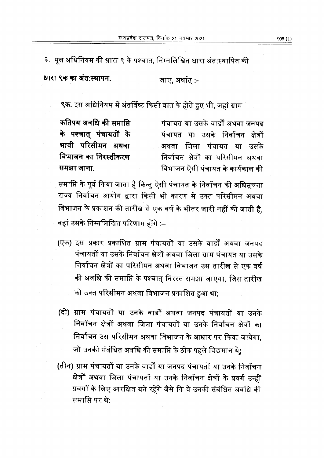३. मूल अधिनियम की धारा ९ के पश्चात, निम्नलिखित धारा अंत:स्थापित की

धारा ९क का अंत:स्थापन.

जाए, अर्थातु :-

९क. इस अधिनियम में अंतर्विष्ट किसी बात के होते हुए भी, जहां ग्राम

कतिपय अवधि की समाप्ति के पश्चात् पंचायतों के भावी परिसीमन अथवा विभाजन का निरस्तीकरण समझा जाना.

पंचायत या उसके वार्डों अथवा जनपट पंचायत या उसके निर्वाचन क्षेत्रों अथवा जिला पंचायत या उसके निर्वाचन क्षेत्रों का परिसीमन अथवा विभाजन ऐसी पंचायत के कार्यकाल की

समाप्ति के पूर्व किया जाता है किन्तु ऐसी पंचायत के निर्वाचन की अधिसूचना राज्य निर्वाचन आयोग द्वारा किसी भी कारण से उक्त परिसीमन अथवा विभाजन के प्रकाशन की तारीख से एक वर्ष के भीतर जारी नहीं की जाती है, वहां उसके निम्नलिखित परिणाम होंगे :–

- (एक) इस प्रकार प्रकाशित ग्राम पंचायतों या उसके वार्डों अथवा जनपद पंचायतों या उसके निर्वाचन क्षेत्रों अथवा जिला ग्राम पंचायत या उसके निर्वाचन क्षेत्रों का परिसीमन अथवा विभाजन उस तारीख से एक वर्ष की अवधि की समाप्ति के पश्चात् निरस्त समझा जाएगा, जिस तारीख को उक्त परिसीमन अथवा विभाजन प्रकाशित हुआ था;
- (दो) ग्राम पंचायतों या उनके वार्डों अथवा जनपद पंचायतों या उनके निर्वाचन क्षेत्रों अथवा जिला पंचायतों या उनके निर्वाचन क्षेत्रों का निर्वाचन उस परिसीमन अथवा विभाजन के आधार पर किया जायेगा जो उनकी संबंधित अवधि की समाप्ति के ठीक पहले विद्यमान थे;
- (तीन) ग्राम पंचायतों या उनके वार्डों या जनपद पंचायतों या उनके निर्वाचन क्षेत्रों अथवा जिला पंचायतों या उनके निर्वाचन क्षेत्रों के प्रवर्ग उन्हीं प्रवर्गों के लिए आरक्षित बने रहेंगे जैसे कि वे उनकी संबंधित अवधि की समाप्ति पर थे: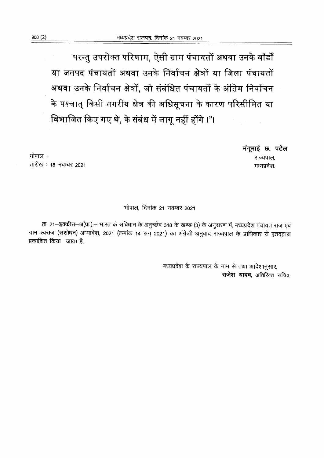परन्तु उपरोक्त परिणाम, ऐसी ग्राम पंचायतों अथवा उनके वॉर्डों या जनपद पंचायतों अथवा उनके निर्वाचन क्षेत्रों या जिला पंचायतों अथवा उनके निर्वाचन क्षेत्रों, जो संबंधित पंचायतों के अंतिम निर्वाचन के पश्चात् किसी नगरीय क्षेत्र की अधिसूचना के कारण परिसीमित या विभाजित किए गए थे, के संबंध में लागू नहीं होंगे ।"।

> मंगूमाई छ. पटेल राज्यपाल, मध्यप्रदेश.

भोपाल: तारीख: 18 नवम्बर 2021

## भोपाल. दिनांक 21 नवम्बर 2021

क्र. 21–इक्कीस–अ(प्रा.).– भारत के संविधान के अनुच्छेद 348 के खण्ड (3) के अनुसरण में, मध्यप्रदेश पंचायत राज एवं ग्राम स्वराज (संशोधन) अध्यादेश, 2021 (क्रमांक 14 सन् 2021) का अंग्रेजी अनुवाद राज्यपाल के प्राधिकार से एतद्द्वारा प्रकाशित किया जाता है.

> मध्यप्रदेश के राज्यपाल के नाम से तथा आदेशानुसार, राजेश यादव, अतिरिक्त सचिव,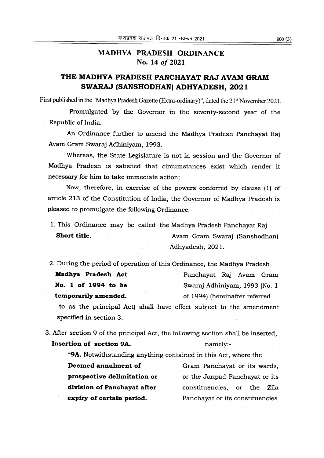## MADHYA PRADESH ORDINANCE No. 14 of 2021

## THE MADHYA PRADESH PANCHAYAT RAJ AVAM GRAM SWARAJ (SANSHODHAN) ADHYADESH, 2021

First published in the "Madhya Pradesh Gazette (Extra-ordinary)", dated the 21<sup>st</sup> November 2021.

Promulgated by the Governor in the seventy-second year of the Republic of India.

An Ordinance further to amend the Madhya Pradesh Panchayat Raj Avam Gram Swaraj Adhiniyam, L993.

Whereas, the State Legislature is not in session and the Governor of Madhya Pradesh is satisfied that circumstances exist which render it necessary for him to take immediate action;

Now, therefore, in exercise of the powers conferred by clause (1) of article 213 of the Constitution of India, the Governor of Madhya Pradesh is pleased to promulgate the following Ordinance:-

1. This Ordinance may be called the Madhya Pradesh Panchayat Raj Short title. **Avam Gram Swaraj (Sanshodhan)** Adhyadesh,2O2l.

2. During the period of operation of this Ordinance, the Madhya Pradesh Madhya Pradesh Act Panchayat Raj Avam Gram No. 1 of 1994 to be Swaraj Adhiniyam, 1993 (No. 1 temporarily amended. The of 1994) (hereinafter referred

to as the principal Act) shall have effect subject to the amendment specified in section 3.

3. After section 9 of the principal Act, the following section shall be inserted, Insertion of section 9A. hamely:-

"9A. Notwithstanding anything contained in this Act, where the Deemed annulment of prospective dellmitation or division of Panchayat after expiry of certain period. Gram Panchayat or its wards, or the Janpad Panchayat or its constituencies, or the Zila Panchayat or its constituencies